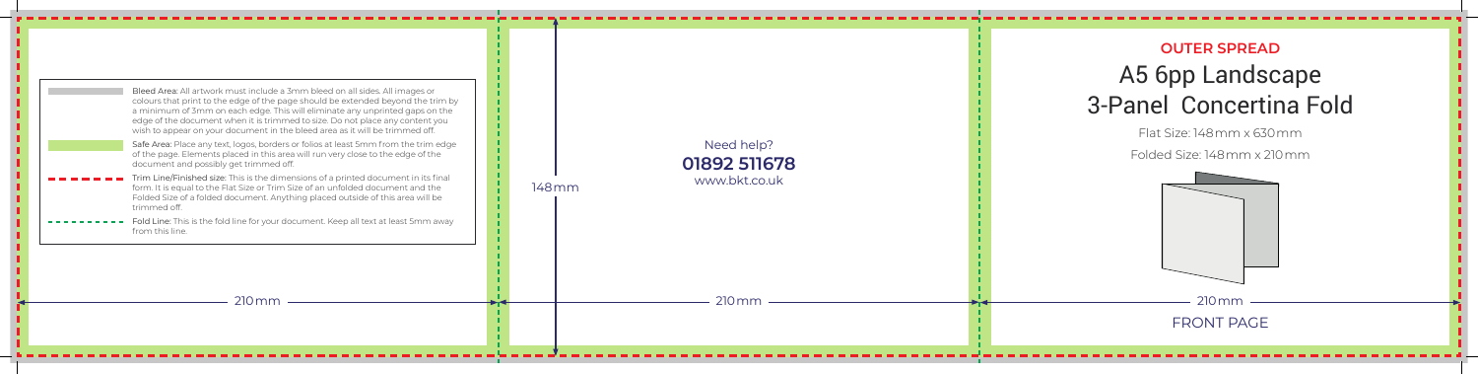